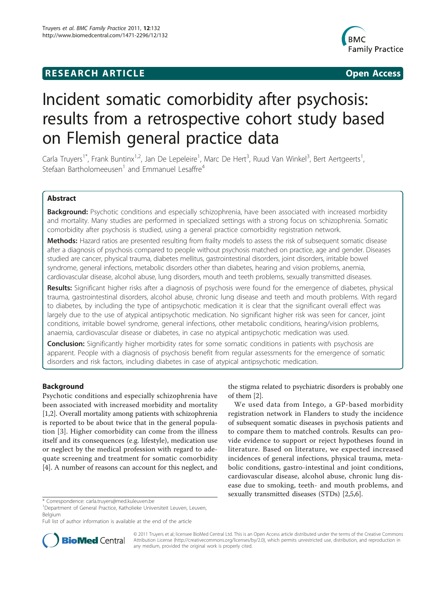# **RESEARCH ARTICLE Example 2018 CONSIDERING ACCESS**



# Incident somatic comorbidity after psychosis: results from a retrospective cohort study based on Flemish general practice data

Carla Truyers<sup>1\*</sup>, Frank Buntinx<sup>1,2</sup>, Jan De Lepeleire<sup>1</sup>, Marc De Hert<sup>3</sup>, Ruud Van Winkel<sup>3</sup>, Bert Aertgeerts<sup>1</sup> , Stefaan Bartholomeeusen<sup>1</sup> and Emmanuel Lesaffre<sup>4</sup>

# Abstract

**Background:** Psychotic conditions and especially schizophrenia, have been associated with increased morbidity and mortality. Many studies are performed in specialized settings with a strong focus on schizophrenia. Somatic comorbidity after psychosis is studied, using a general practice comorbidity registration network.

Methods: Hazard ratios are presented resulting from frailty models to assess the risk of subsequent somatic disease after a diagnosis of psychosis compared to people without psychosis matched on practice, age and gender. Diseases studied are cancer, physical trauma, diabetes mellitus, gastrointestinal disorders, joint disorders, irritable bowel syndrome, general infections, metabolic disorders other than diabetes, hearing and vision problems, anemia, cardiovascular disease, alcohol abuse, lung disorders, mouth and teeth problems, sexually transmitted diseases.

Results: Significant higher risks after a diagnosis of psychosis were found for the emergence of diabetes, physical trauma, gastrointestinal disorders, alcohol abuse, chronic lung disease and teeth and mouth problems. With regard to diabetes, by including the type of antipsychotic medication it is clear that the significant overall effect was largely due to the use of atypical antipsychotic medication. No significant higher risk was seen for cancer, joint conditions, irritable bowel syndrome, general infections, other metabolic conditions, hearing/vision problems, anaemia, cardiovascular disease or diabetes, in case no atypical antipsychotic medication was used.

**Conclusion:** Significantly higher morbidity rates for some somatic conditions in patients with psychosis are apparent. People with a diagnosis of psychosis benefit from regular assessments for the emergence of somatic disorders and risk factors, including diabetes in case of atypical antipsychotic medication.

# Background

Psychotic conditions and especially schizophrenia have been associated with increased morbidity and mortality [[1,2](#page-4-0)]. Overall mortality among patients with schizophrenia is reported to be about twice that in the general population [[3](#page-4-0)]. Higher comorbidity can come from the illness itself and its consequences (e.g. lifestyle), medication use or neglect by the medical profession with regard to adequate screening and treatment for somatic comorbidity [[4\]](#page-4-0). A number of reasons can account for this neglect, and

the stigma related to psychiatric disorders is probably one of them [[2](#page-4-0)].

We used data from Intego, a GP-based morbidity registration network in Flanders to study the incidence of subsequent somatic diseases in psychosis patients and to compare them to matched controls. Results can provide evidence to support or reject hypotheses found in literature. Based on literature, we expected increased incidences of general infections, physical trauma, metabolic conditions, gastro-intestinal and joint conditions, cardiovascular disease, alcohol abuse, chronic lung disease due to smoking, teeth- and mouth problems, and sexually transmitted diseases (STDs) [[2,5,6\]](#page-4-0).

Full list of author information is available at the end of the article



© 2011 Truyers et al; licensee BioMed Central Ltd. This is an Open Access article distributed under the terms of the Creative Commons Attribution License [\(http://creativecommons.org/licenses/by/2.0](http://creativecommons.org/licenses/by/2.0)), which permits unrestricted use, distribution, and reproduction in any medium, provided the original work is properly cited.

<sup>\*</sup> Correspondence: [carla.truyers@med.kuleuven.be](mailto:carla.truyers@med.kuleuven.be)

<sup>&</sup>lt;sup>1</sup>Department of General Practice, Katholieke Universiteit Leuven, Leuven, Belgium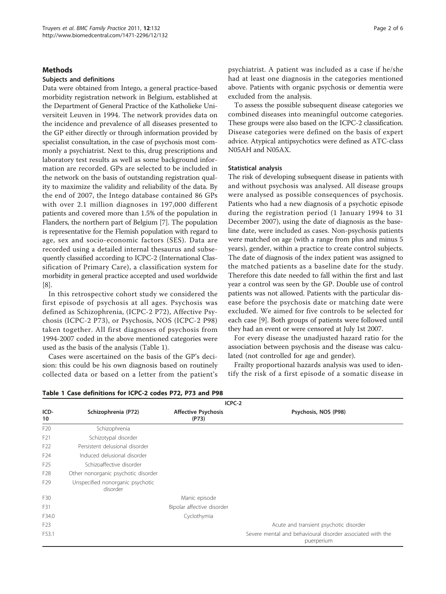# Methods

# Subjects and definitions

Data were obtained from Intego, a general practice-based morbidity registration network in Belgium, established at the Department of General Practice of the Katholieke Universiteit Leuven in 1994. The network provides data on the incidence and prevalence of all diseases presented to the GP either directly or through information provided by specialist consultation, in the case of psychosis most commonly a psychiatrist. Next to this, drug prescriptions and laboratory test results as well as some background information are recorded. GPs are selected to be included in the network on the basis of outstanding registration quality to maximize the validity and reliability of the data. By the end of 2007, the Intego database contained 86 GPs with over 2.1 million diagnoses in 197,000 different patients and covered more than 1.5% of the population in Flanders, the northern part of Belgium [\[7](#page-4-0)]. The population is representative for the Flemish population with regard to age, sex and socio-economic factors (SES). Data are recorded using a detailed internal thesaurus and subsequently classified according to ICPC-2 (International Classification of Primary Care), a classification system for morbidity in general practice accepted and used worldwide [[8\]](#page-4-0).

In this retrospective cohort study we considered the first episode of psychosis at all ages. Psychosis was defined as Schizophrenia, (ICPC-2 P72), Affective Psychosis (ICPC-2 P73), or Psychosis, NOS (ICPC-2 P98) taken together. All first diagnoses of psychosis from 1994-2007 coded in the above mentioned categories were used as the basis of the analysis (Table 1).

Cases were ascertained on the basis of the GP's decision: this could be his own diagnosis based on routinely collected data or based on a letter from the patient's

psychiatrist. A patient was included as a case if he/she had at least one diagnosis in the categories mentioned above. Patients with organic psychosis or dementia were excluded from the analysis.

To assess the possible subsequent disease categories we combined diseases into meaningful outcome categories. These groups were also based on the ICPC-2 classification. Disease categories were defined on the basis of expert advice. Atypical antipsychotics were defined as ATC-class N05AH and N05AX.

#### Statistical analysis

The risk of developing subsequent disease in patients with and without psychosis was analysed. All disease groups were analysed as possible consequences of psychosis. Patients who had a new diagnosis of a psychotic episode during the registration period (1 January 1994 to 31 December 2007), using the date of diagnosis as the baseline date, were included as cases. Non-psychosis patients were matched on age (with a range from plus and minus 5 years), gender, within a practice to create control subjects. The date of diagnosis of the index patient was assigned to the matched patients as a baseline date for the study. Therefore this date needed to fall within the first and last year a control was seen by the GP. Double use of control patients was not allowed. Patients with the particular disease before the psychosis date or matching date were excluded. We aimed for five controls to be selected for each case [[9\]](#page-4-0). Both groups of patients were followed until they had an event or were censored at July 1st 2007.

For every disease the unadjusted hazard ratio for the association between psychosis and the disease was calculated (not controlled for age and gender).

Frailty proportional hazards analysis was used to identify the risk of a first episode of a somatic disease in

|                 | ICPC-2                                       |                                     |                                                                          |  |
|-----------------|----------------------------------------------|-------------------------------------|--------------------------------------------------------------------------|--|
| ICD-<br>10      | Schizophrenia (P72)                          | <b>Affective Psychosis</b><br>(P73) | Psychosis, NOS (P98)                                                     |  |
| F <sub>20</sub> | Schizophrenia                                |                                     |                                                                          |  |
| F <sub>21</sub> | Schizotypal disorder                         |                                     |                                                                          |  |
| F <sub>22</sub> | Persistent delusional disorder               |                                     |                                                                          |  |
| F <sub>24</sub> | Induced delusional disorder                  |                                     |                                                                          |  |
| F <sub>25</sub> | Schizoaffective disorder                     |                                     |                                                                          |  |
| F <sub>28</sub> | Other nonorganic psychotic disorder          |                                     |                                                                          |  |
| F <sub>29</sub> | Unspecified nonorganic psychotic<br>disorder |                                     |                                                                          |  |
| F30             |                                              | Manic episode                       |                                                                          |  |
| F31             |                                              | Bipolar affective disorder          |                                                                          |  |
| F34.0           |                                              | Cyclothymia                         |                                                                          |  |
| F <sub>23</sub> |                                              |                                     | Acute and transient psychotic disorder                                   |  |
| F53.1           |                                              |                                     | Severe mental and behavioural disorder associated with the<br>puerperium |  |

Table 1 Case definitions for ICPC-2 codes P72, P73 and P98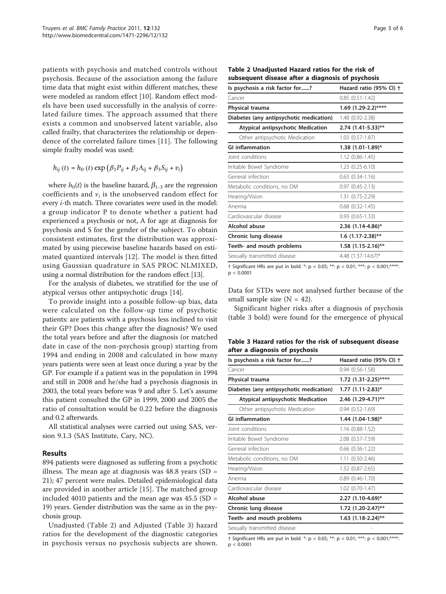patients with psychosis and matched controls without psychosis. Because of the association among the failure time data that might exist within different matches, these were modeled as random effect [\[10](#page-5-0)]. Random effect models have been used successfully in the analysis of correlated failure times. The approach assumed that there exists a common and unobserved latent variable, also called frailty, that characterizes the relationship or dependence of the correlated failure times [[11](#page-5-0)]. The following simple frailty model was used:

$$
h_{ij}(t) = h_0(t) \exp (\beta_1 P_{ij} + \beta_2 A_{ij} + \beta_3 S_{ij} + v_i)
$$

where  $h_0(t)$  is the baseline hazard,  $\beta_{1-3}$  are the regression coefficients and  $v_i$  is the unobserved random effect for every i-th match. Three covariates were used in the model: a group indicator P to denote whether a patient had experienced a psychosis or not, A for age at diagnosis for psychosis and S for the gender of the subject. To obtain consistent estimates, first the distribution was approximated by using piecewise baseline hazards based on estimated quantized intervals [[12\]](#page-5-0). The model is then fitted using Gaussian quadrature in SAS PROC NLMIXED, using a normal distribution for the random effect [\[13\]](#page-5-0).

For the analysis of diabetes, we stratified for the use of atypical versus other antipsychotic drugs [\[14\]](#page-5-0).

To provide insight into a possible follow-up bias, data were calculated on the follow-up time of psychotic patients: are patients with a psychosis less inclined to visit their GP? Does this change after the diagnosis? We used the total years before and after the diagnosis (or matched date in case of the non-psychosis group) starting from 1994 and ending in 2008 and calculated in how many years patients were seen at least once during a year by the GP. For example if a patient was in the population in 1994 and still in 2008 and he/she had a psychosis diagnosis in 2003, the total years before was 9 and after 5. Let's assume this patient consulted the GP in 1999, 2000 and 2005 the ratio of consultation would be 0.22 before the diagnosis and 0.2 afterwards.

All statistical analyses were carried out using SAS, version 9.1.3 (SAS Institute, Cary, NC).

#### Results

894 patients were diagnosed as suffering from a psychotic illness. The mean age at diagnosis was  $48.8$  years (SD = 21); 47 percent were males. Detailed epidemiological data are provided in another article [[15\]](#page-5-0). The matched group included 4010 patients and the mean age was  $45.5$  (SD = 19) years. Gender distribution was the same as in the psychosis group.

Unadjusted (Table 2) and Adjusted (Table 3) hazard ratios for the development of the diagnostic categories in psychosis versus no psychosis subjects are shown.

| Table 2 Unadjusted Hazard ratios for the risk of  |  |  |
|---------------------------------------------------|--|--|
| subsequent disease after a diagnosis of psychosis |  |  |

| Is psychosis a risk factor for?         | Hazard ratio (95% CI) + |  |
|-----------------------------------------|-------------------------|--|
| Cancer                                  | $0.85(0.51-1.42)$       |  |
| Physical trauma                         | 1.69 (1.29-2.2)****     |  |
| Diabetes (any antipsychotic medication) | 1.48 (0.92-2.38)        |  |
| Atypical antipsychotic Medication       | $2.74$ (1.41-5.33)**    |  |
| Other antipsychotic Medication          | $1.03(0.57-1.87)$       |  |
| <b>GI inflammation</b>                  | $1.38$ (1.01-1.89)*     |  |
| Joint conditions                        | $1.12(0.86 - 1.45)$     |  |
| Irritable Bowel Syndrome                | $1.23(0.25-6.10)$       |  |
| General infection                       | $0.63$ $(0.34-1.16)$    |  |
| Metabolic conditions, no DM             | $0.97(0.45 - 2.13)$     |  |
| Hearing/Vision                          | 1.31 (0.75-2.29)        |  |
| Anemia                                  | $0.68$ $(0.32 - 1.45)$  |  |
| Cardiovascular disease                  | $0.93$ $(0.65 - 1.33)$  |  |
| Alcohol abuse                           | $2.36$ (1.14-4.86)*     |  |
| Chronic lung disease                    | $1.6$ (1.17-2.38)**     |  |
| Teeth- and mouth problems               | $1.58$ (1.15-2.16)**    |  |
| Sexually transmitted disease            | 4.48 (1.37-14.67)*      |  |
|                                         |                         |  |

† Significant HRs are put in bold. \*:  $p < 0.05$ ; \*\*:  $p < 0.01$ ; \*\*\*:  $p < 0.001$ ; \*\*\*\*:  $p < 0.0001$ 

Data for STDs were not analysed further because of the small sample size  $(N = 42)$ .

Significant higher risks after a diagnosis of psychosis (table 3 bold) were found for the emergence of physical

Table 3 Hazard ratios for the risk of subsequent disease after a diagnosis of psychosis

| Is psychosis a risk factor for?         | Hazard ratio (95% CI) +  |  |
|-----------------------------------------|--------------------------|--|
| Cancer                                  | $0.94(0.56-1.58)$        |  |
| Physical trauma                         | $1.72$ (1.31-2.25)****   |  |
| Diabetes (any antipsychotic medication) | $1.77$ $(1.11 - 2.83)^*$ |  |
| Atypical antipsychotic Medication       | 2.46 (1.29-4.71)**       |  |
| Other antipsychotic Medication          | $0.94(0.52-1.69)$        |  |
| <b>GI inflammation</b>                  | 1.44 (1.04-1.98)*        |  |
| Joint conditions                        | $1.16(0.88-1.52)$        |  |
| Irritable Bowel Syndrome                | 2.08 (0.57-7.59)         |  |
| General infection                       | $0.66$ $(0.36 - 1.22)$   |  |
| Metabolic conditions, no DM             | $1.11(0.50-2.46)$        |  |
| Hearing/Vision                          | 1.52 (0.87-2.65)         |  |
| Anemia                                  | $0.89(0.46-1.70)$        |  |
| Cardiovascular disease                  | 1.02 (0.70-1.47)         |  |
| Alcohol abuse                           | 2.27 (1.10-4.69)*        |  |
| Chronic lung disease                    | $1.72$ (1.20-2.47)**     |  |
| Teeth- and mouth problems               | $1.63$ (1.18-2.24)**     |  |
| Sexually transmitted disease            |                          |  |

† Significant HRs are put in bold. \*:  $p < 0.05$ ; \*\*:  $p < 0.01$ ; \*\*\*:  $p < 0.001$ ; \*\*\*\*:  $p < 0.0001$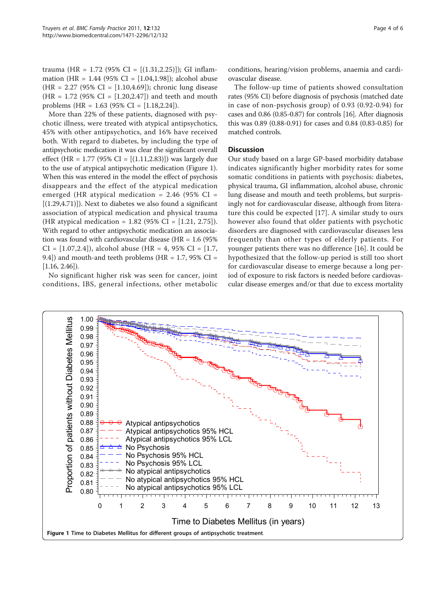trauma (HR = 1.72 (95% CI =  $[(1.31, 2.25)]$ ); GI inflammation (HR = 1.44 (95% CI =  $[1.04, 1.98]$ ); alcohol abuse  $(HR = 2.27 (95\% CI = [1.10, 4.69])$ ; chronic lung disease  $(HR = 1.72 (95\% CI = [1.20, 2.47])$  and teeth and mouth problems (HR = 1.63 (95% CI = [1.18,2.24]).

More than 22% of these patients, diagnosed with psychotic illness, were treated with atypical antipsychotics, 45% with other antipsychotics, and 16% have received both. With regard to diabetes, by including the type of antipsychotic medication it was clear the significant overall effect (HR = 1.77 (95% CI =  $[(1.11, 2.83)]$ ) was largely due to the use of atypical antipsychotic medication (Figure 1). When this was entered in the model the effect of psychosis disappears and the effect of the atypical medication emerged (HR atypical medication =  $2.46$  (95% CI =  $[(1.29,4.71)]$ . Next to diabetes we also found a significant association of atypical medication and physical trauma (HR atypical medication =  $1.82$  (95% CI =  $[1.21, 2.75]$ ). With regard to other antipsychotic medication an association was found with cardiovascular disease (HR =  $1.6$  (95%)  $CI = [1.07, 2.4]$ , alcohol abuse (HR = 4, 95% CI = [1.7, 9.4]) and mouth-and teeth problems (HR =  $1.7$ , 95% CI =  $[1.16, 2.46]$ ).

No significant higher risk was seen for cancer, joint conditions, IBS, general infections, other metabolic conditions, hearing/vision problems, anaemia and cardiovascular disease.

The follow-up time of patients showed consultation rates (95% CI) before diagnosis of psychosis (matched date in case of non-psychosis group) of 0.93 (0.92-0.94) for cases and 0.86 (0.85-0.87) for controls [\[16](#page-5-0)]. After diagnosis this was 0.89 (0.88-0.91) for cases and 0.84 (0.83-0.85) for matched controls.

# **Discussion**

Our study based on a large GP-based morbidity database indicates significantly higher morbidity rates for some somatic conditions in patients with psychosis: diabetes, physical trauma, GI inflammation, alcohol abuse, chronic lung disease and mouth and teeth problems, but surprisingly not for cardiovascular disease, although from literature this could be expected [\[17](#page-5-0)]. A similar study to ours however also found that older patients with psychotic disorders are diagnosed with cardiovascular diseases less frequently than other types of elderly patients. For younger patients there was no difference [[16](#page-5-0)]. It could be hypothesized that the follow-up period is still too short for cardiovascular disease to emerge because a long period of exposure to risk factors is needed before cardiovascular disease emerges and/or that due to excess mortality

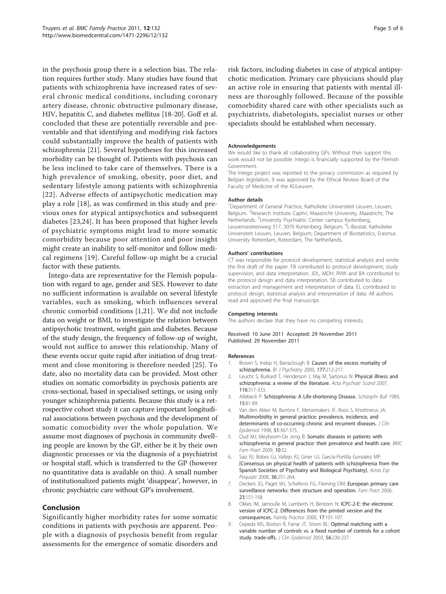<span id="page-4-0"></span>in the psychosis group there is a selection bias. The relation requires further study. Many studies have found that patients with schizophrenia have increased rates of several chronic medical conditions, including coronary artery disease, chronic obstructive pulmonary disease, HIV, hepatitis C, and diabetes mellitus [\[18](#page-5-0)-[20](#page-5-0)]. Goff et al. concluded that these are potentially reversible and preventable and that identifying and modifying risk factors could substantially improve the health of patients with schizophrenia [\[21](#page-5-0)]. Several hypotheses for this increased morbidity can be thought of. Patients with psychosis can be less inclined to take care of themselves. There is a high prevalence of smoking, obesity, poor diet, and sedentary lifestyle among patients with schizophrenia [[22\]](#page-5-0). Adverse effects of antipsychotic medication may play a role [\[18\]](#page-5-0), as was confirmed in this study and previous ones for atypical antipsychotics and subsequent diabetes [[23,24](#page-5-0)]. It has been proposed that higher levels of psychiatric symptoms might lead to more somatic comorbidity because poor attention and poor insight might create an inability to self-monitor and follow medical regimens [[19\]](#page-5-0). Careful follow-up might be a crucial factor with these patients.

Intego-data are representative for the Flemish population with regard to age, gender and SES. However to date no sufficient information is available on several lifestyle variables, such as smoking, which influences several chronic comorbid conditions [1[,21](#page-5-0)]. We did not include data on weight or BMI, to investigate the relation between antipsychotic treatment, weight gain and diabetes. Because of the study design, the frequency of follow-up of weight, would not suffice to answer this relationship. Many of these events occur quite rapid after initiation of drug treatment and close monitoring is therefore needed [\[25](#page-5-0)]. To date, also no mortality data can be provided. Most other studies on somatic comorbidity in psychosis patients are cross-sectional, based in specialised settings, or using only younger schizophrenia patients. Because this study is a retrospective cohort study it can capture important longitudinal associations between psychosis and the development of somatic comorbidity over the whole population. We assume most diagnoses of psychosis in community dwelling people are known by the GP, either be it by their own diagnostic processes or via the diagnosis of a psychiatrist or hospital staff, which is transferred to the GP (however no quantitative data is available on this). A small number of institutionalized patients might 'disappear', however, in chronic psychiatric care without GP's involvement.

# Conclusion

Significantly higher morbidity rates for some somatic conditions in patients with psychosis are apparent. People with a diagnosis of psychosis benefit from regular assessments for the emergence of somatic disorders and risk factors, including diabetes in case of atypical antipsychotic medication. Primary care physicians should play an active role in ensuring that patients with mental illness are thoroughly followed. Because of the possible comorbidity shared care with other specialists such as psychiatrists, diabetologists, specialist nurses or other specialists should be established when necessary.

#### Acknowledgements

We would like to thank all collaborating GPs. Without their support this work would not be possible. Intego is financially supported by the Flemish Government.

The Intego project was reported to the privacy commission as required by Belgian legislation, It was approved by the Ethical Review Board of the Faculty of Medicine of the KULeuven.

#### Author details

<sup>1</sup>Department of General Practice, Katholieke Universiteit Leuven, Leuven, Belgium. <sup>2</sup>Research Institute Caphri, Maastricht University, Maastricht, The Netherlands. <sup>3</sup>University Psychiatric Center campus Kortenberg, Leuvensesteenweg 517, 3070 Kortenberg, Belgium. <sup>4</sup>L-Biostat, Katholieke Universiteit Leuven, Leuven, Belgium; Department of Biostatistics, Erasmus University Rotterdam, Rotterdam, The Netherlands.

#### Authors' contributions

CT was responsible for protocol development, statistical analysis and wrote the first draft of the paper. FB contributed to protocol development, study supervision, and data interpretation. JDL, MDH, RVW and BA contributed to the protocol design and data interpretation. SB contributed to data extraction and management and interpretation of data. EL contributed to protocol design, statistical analysis and interpretation of data. All authors read and approved the final manuscript.

#### Competing interests

The authors declare that they have no competing interests.

#### Received: 10 June 2011 Accepted: 29 November 2011 Published: 29 November 2011

#### References

- Brown S, Inskip H, Barraclough B: [Causes of the excess mortality of](http://www.ncbi.nlm.nih.gov/pubmed/11040880?dopt=Abstract) [schizophrenia.](http://www.ncbi.nlm.nih.gov/pubmed/11040880?dopt=Abstract) Br J Psychiatry 2000, 177:212-217.
- 2. Leucht S, Burkard T, Henderson J, Maj M, Sartorius N: [Physical illness and](http://www.ncbi.nlm.nih.gov/pubmed/17919153?dopt=Abstract) [schizophrenia: a review of the literature.](http://www.ncbi.nlm.nih.gov/pubmed/17919153?dopt=Abstract) Acta Psychiatr Scand 2007, 116:317-333.
- 3. Allebeck P: [Schizophrenia: A Life-shortening Disease.](http://www.ncbi.nlm.nih.gov/pubmed/2717890?dopt=Abstract) Schizophr Bull 1989, 15:81-89.
- 4. Van den Akker M, Buntinx F, Metsemakers JF, Roos S, Knottnerus JA: [Multimorbidity in general practice: prevalence, incidence, and](http://www.ncbi.nlm.nih.gov/pubmed/9619963?dopt=Abstract) [determinants of co-occurring chronic and recurrent diseases.](http://www.ncbi.nlm.nih.gov/pubmed/9619963?dopt=Abstract) *J Clin* Epidemiol 1998, 51:367-375.
- 5. Oud MJ, Meyboom-De Jong B: [Somatic diseases in patients with](http://www.ncbi.nlm.nih.gov/pubmed/19426545?dopt=Abstract) [schizophrenia in general practice: their prevalence and health care.](http://www.ncbi.nlm.nih.gov/pubmed/19426545?dopt=Abstract) BMC Fam Pract 2009, 10:32.
- 6. Saiz RJ, Bobes GJ, Vallejo RJ, Giner UJ, Garcia-Portilla Gonzalez MP: [\[Consensus on physical health of patients with schizophrenia from the](http://www.ncbi.nlm.nih.gov/pubmed/18830847?dopt=Abstract) [Spanish Societies of Psychiatry and Biological Psychiatry\].](http://www.ncbi.nlm.nih.gov/pubmed/18830847?dopt=Abstract) Actas Esp Psiquiatr 2008, 36:251-264.
- 7. Deckers JG, Paget WJ, Schellevis FG, Fleming DM: [European primary care](http://www.ncbi.nlm.nih.gov/pubmed/16464870?dopt=Abstract) [surveillance networks: their structure and operation.](http://www.ncbi.nlm.nih.gov/pubmed/16464870?dopt=Abstract) Fam Pract 2006, 23:151-158.
- 8. Okkes IM, Jamoulle M, Lamberts H, Bentzen N: [ICPC-2-E: the electronic](http://www.ncbi.nlm.nih.gov/pubmed/10758069?dopt=Abstract) [version of ICPC-2. Differences from the printed version and the](http://www.ncbi.nlm.nih.gov/pubmed/10758069?dopt=Abstract) [consequences.](http://www.ncbi.nlm.nih.gov/pubmed/10758069?dopt=Abstract) Family Practice 2000, 17:101-107.
- 9. Cepeda MS, Boston R, Farrar JT, Strom BL: [Optimal matching with a](http://www.ncbi.nlm.nih.gov/pubmed/12725877?dopt=Abstract) [variable number of controls vs. a fixed number of controls for a cohort](http://www.ncbi.nlm.nih.gov/pubmed/12725877?dopt=Abstract) [study. trade-offs.](http://www.ncbi.nlm.nih.gov/pubmed/12725877?dopt=Abstract) J Clin Epidemiol 2003, 56:230-237.